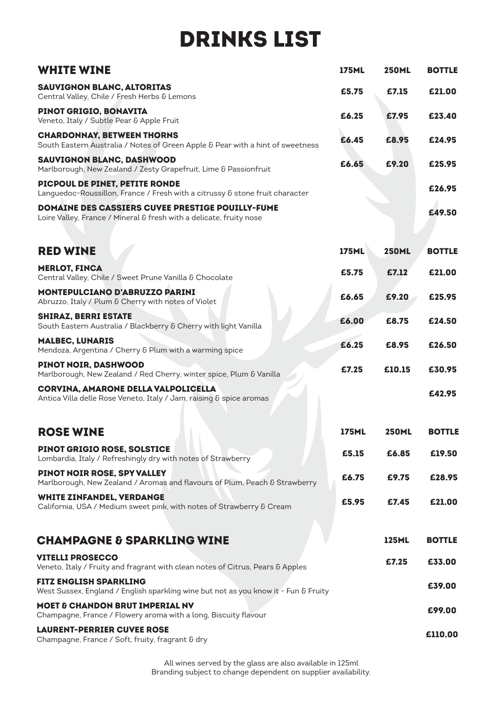# DRINKS LIST

| <b>WHITE WINE</b>                                                                                                              | <b>175ML</b> | <b>250ML</b> | <b>BOTTLE</b> |
|--------------------------------------------------------------------------------------------------------------------------------|--------------|--------------|---------------|
| SAUVIGNON BLANC, ALTORITAS<br>Central Valley, Chile / Fresh Herbs & Lemons                                                     | £5.75        | £7.15        | £21.00        |
| PINOT GRIGIO, BONAVITA<br>Veneto, Italy / Subtle Pear & Apple Fruit                                                            | £6.25        | £7.95        | £23.40        |
| <b>CHARDONNAY, BETWEEN THORNS</b><br>South Eastern Australia / Notes of Green Apple & Pear with a hint of sweetness            | £6.45        | £8.95        | £24.95        |
| SAUVIGNON BLANC, DASHWOOD<br>Marlborough, New Zealand / Zesty Grapefruit, Lime & Passionfruit                                  | £6.65        | £9.20        | £25.95        |
| PICPOUL DE PINET, PETITE RONDE<br>Languedoc-Roussillon, France / Fresh with a citrussy & stone fruit character                 |              |              | £26.95        |
| <b>DOMAINE DES CASSIERS CUVEE PRESTIGE POUILLY-FUME</b><br>Loire Valley, France / Mineral & fresh with a delicate, fruity nose |              |              | £49.50        |
| <b>RED WINE</b>                                                                                                                | <b>175ML</b> | <b>250ML</b> | <b>BOTTLE</b> |
| <b>MERLOT, FINCA</b><br>Central Valley, Chile / Sweet Prune Vanilla & Chocolate                                                | £5.75        | £7.12        | £21.00        |
| <b>MONTEPULCIANO D'ABRUZZO PARINI</b><br>Abruzzo, Italy / Plum & Cherry with notes of Violet                                   | £6.65        | £9.20        | £25.95        |
| <b>SHIRAZ, BERRI ESTATE</b><br>South Eastern Australia / Blackberry & Cherry with light Vanilla                                | £6.00        | £8.75        | £24.50        |
| <b>MALBEC, LUNARIS</b><br>Mendoza, Argentina / Cherry & Plum with a warming spice                                              | £6.25        | £8.95        | £26.50        |
| PINOT NOIR, DASHWOOD<br>Marlborough, New Zealand / Red Cherry, winter spice, Plum & Vanilla                                    | £7.25        | £10.15       | £30.95        |
| CORVINA, AMARONE DELLA VALPOLICELLA<br>Antica Villa delle Rose Veneto, Italy / Jam, raising & spice aromas                     |              |              | £42.95        |
| <b>ROSE WINE</b>                                                                                                               | <b>175ML</b> | <b>250ML</b> | <b>BOTTLE</b> |
| <b>PINOT GRIGIO ROSE, SOLSTICE</b><br>Lombardia, Italy / Refreshingly dry with notes of Strawberry                             | £5.15        | £6.85        | £19.50        |
| PINOT NOIR ROSE, SPY VALLEY<br>Marlborough, New Zealand / Aromas and flavours of Plum, Peach & Strawberry                      | £6.75        | £9.75        | £28.95        |
| <b>WHITE ZINFANDEL, VERDANGE</b><br>California, USA / Medium sweet pink, with notes of Strawberry & Cream                      | £5.95        | £7.45        | £21.00        |
| <b>CHAMPAGNE &amp; SPARKLING WINE</b>                                                                                          |              | <b>125ML</b> | <b>BOTTLE</b> |
| <b>VITELLI PROSECCO</b><br>Veneto, Italy / Fruity and fragrant with clean notes of Citrus, Pears & Apples                      |              | £7.25        | £33.00        |
| <b>FITZ ENGLISH SPARKLING</b><br>West Sussex, England / English sparkling wine but not as you know it - Fun & Fruity           |              |              | £39.00        |
| <b>MOET &amp; CHANDON BRUT IMPERIAL NV</b><br>Champagne, France / Flowery aroma with a long, Biscuity flavour                  |              |              | £99.00        |
| <b>LAURENT-PERRIER CUVEE ROSE</b><br>Champagne, France / Soft, fruity, fragrant & dry                                          |              |              | £110.00       |

All wines served by the glass are also available in 125ml Branding subject to change dependent on supplier availability.